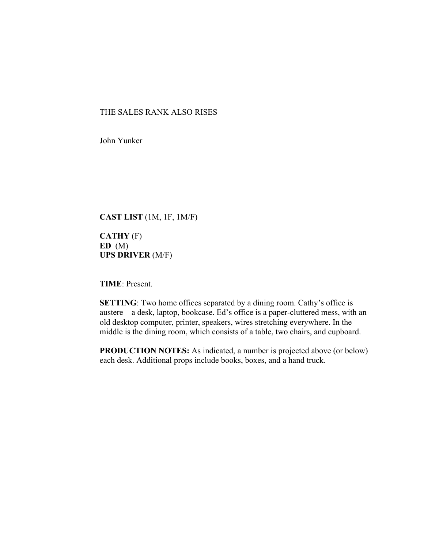## THE SALES RANK ALSO RISES

John Yunker

**CAST LIST** (1M, 1F, 1M/F)

**CATHY** (F) **ED** (M) **UPS DRIVER** (M/F)

**TIME**: Present.

**SETTING**: Two home offices separated by a dining room. Cathy's office is austere – a desk, laptop, bookcase. Ed's office is a paper-cluttered mess, with an old desktop computer, printer, speakers, wires stretching everywhere. In the middle is the dining room, which consists of a table, two chairs, and cupboard.

**PRODUCTION NOTES:** As indicated, a number is projected above (or below) each desk. Additional props include books, boxes, and a hand truck.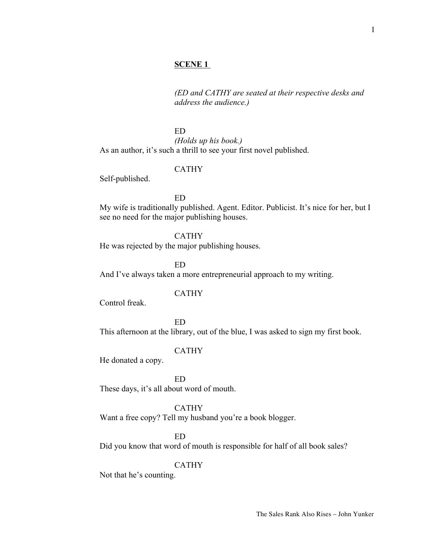1

## **SCENE 1**

*(ED and CATHY are seated at their respective desks and address the audience.)*

ED

*(Holds up his book.)* As an author, it's such a thrill to see your first novel published.

## CATHY

Self-published.

ED

My wife is traditionally published. Agent. Editor. Publicist. It's nice for her, but I see no need for the major publishing houses.

CATHY

He was rejected by the major publishing houses.

ED And I've always taken a more entrepreneurial approach to my writing.

## CATHY

Control freak.

ED This afternoon at the library, out of the blue, I was asked to sign my first book.

## CATHY

He donated a copy.

ED

These days, it's all about word of mouth.

#### CATHY

Want a free copy? Tell my husband you're a book blogger.

ED

Did you know that word of mouth is responsible for half of all book sales?

CATHY

Not that he's counting.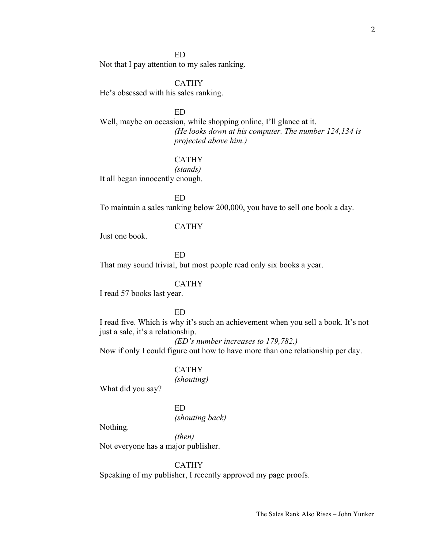#### ED

Not that I pay attention to my sales ranking.

#### CATHY

He's obsessed with his sales ranking.

#### ED

Well, maybe on occasion, while shopping online, I'll glance at it. *(He looks down at his computer. The number 124,134 is projected above him.)*

## CATHY

*(stands)*

It all began innocently enough.

ED

To maintain a sales ranking below 200,000, you have to sell one book a day.

#### CATHY

Just one book.

ED

That may sound trivial, but most people read only six books a year.

#### CATHY

I read 57 books last year.

### ED

I read five. Which is why it's such an achievement when you sell a book. It's not just a sale, it's a relationship.

*(ED's number increases to 179,782.)*

Now if only I could figure out how to have more than one relationship per day.

## CATHY

*(shouting)*

What did you say?

ED *(shouting back)*

Nothing.

*(then)* Not everyone has a major publisher.

CATHY

Speaking of my publisher, I recently approved my page proofs.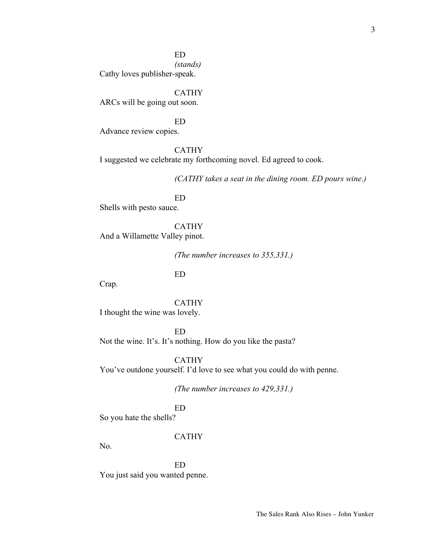ED

*(stands)*

Cathy loves publisher-speak.

CATHY ARCs will be going out soon.

ED Advance review copies.

CATHY I suggested we celebrate my forthcoming novel. Ed agreed to cook.

*(CATHY takes a seat in the dining room. ED pours wine.)*

ED Shells with pesto sauce.

CATHY And a Willamette Valley pinot.

*(The number increases to 355,331.)*

ED

Crap.

CATHY I thought the wine was lovely.

ED Not the wine. It's. It's nothing. How do you like the pasta?

CATHY You've outdone yourself. I'd love to see what you could do with penne.

*(The number increases to 429,331.)*

ED

So you hate the shells?

CATHY

No.

ED You just said you wanted penne.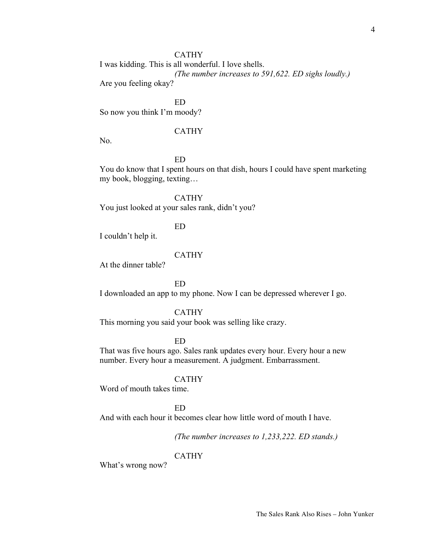### CATHY

I was kidding. This is all wonderful. I love shells. *(The number increases to 591,622. ED sighs loudly.)* Are you feeling okay?

ED So now you think I'm moody?

### CATHY

No.

# ED

You do know that I spent hours on that dish, hours I could have spent marketing my book, blogging, texting…

CATHY You just looked at your sales rank, didn't you?

## ED

I couldn't help it.

## CATHY

At the dinner table?

ED

I downloaded an app to my phone. Now I can be depressed wherever I go.

#### CATHY

This morning you said your book was selling like crazy.

ED

That was five hours ago. Sales rank updates every hour. Every hour a new number. Every hour a measurement. A judgment. Embarrassment.

#### CATHY

Word of mouth takes time.

#### ED

And with each hour it becomes clear how little word of mouth I have.

*(The number increases to 1,233,222. ED stands.)*

### CATHY

What's wrong now?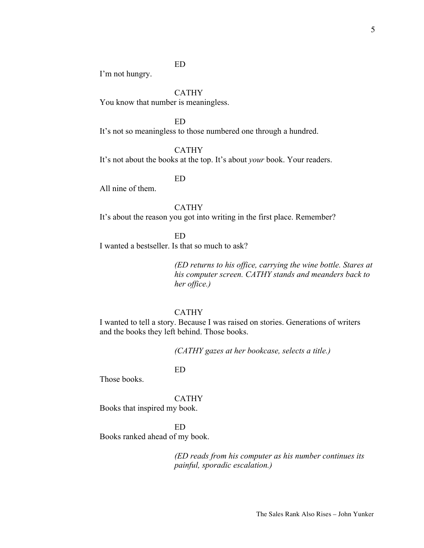ED

I'm not hungry.

CATHY

You know that number is meaningless.

ED

It's not so meaningless to those numbered one through a hundred.

CATHY

It's not about the books at the top. It's about *your* book. Your readers.

ED

All nine of them.

CATHY It's about the reason you got into writing in the first place. Remember?

ED

I wanted a bestseller. Is that so much to ask?

*(ED returns to his office, carrying the wine bottle. Stares at his computer screen. CATHY stands and meanders back to her office.)*

## CATHY

I wanted to tell a story. Because I was raised on stories. Generations of writers and the books they left behind. Those books.

*(CATHY gazes at her bookcase, selects a title.)*

ED

Those books.

CATHY Books that inspired my book.

ED Books ranked ahead of my book.

> *(ED reads from his computer as his number continues its painful, sporadic escalation.)*